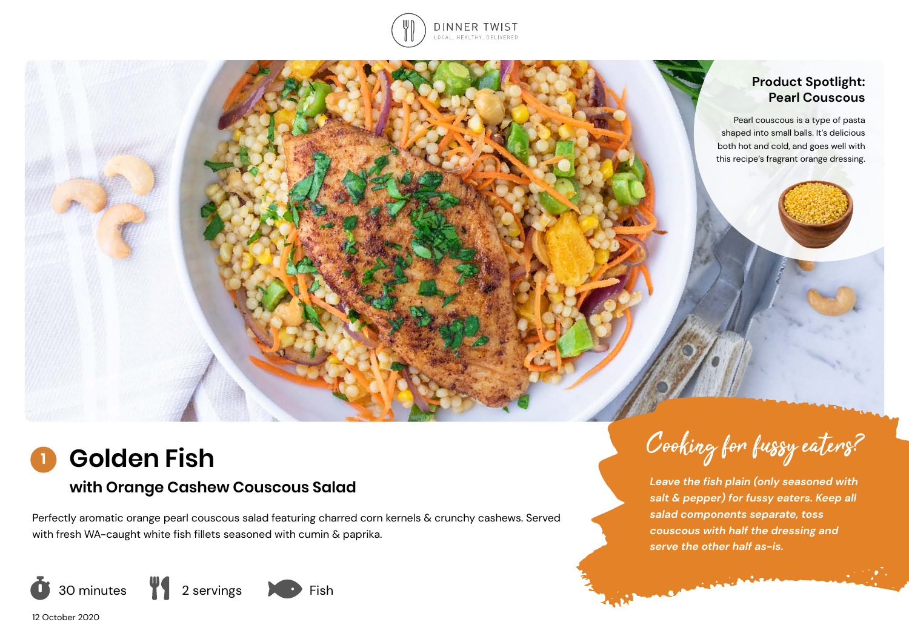

### **Product Spotlight: Pearl Couscous**

Pearl couscous is a type of pasta shaped into small balls. It's delicious both hot and cold, and goes well with this recipe's fragrant orange dressing.

#### **Golden Fish 1**

# **with Orange Cashew Couscous Salad**

Perfectly aromatic orange pearl couscous salad featuring charred corn kernels & crunchy cashews. Served with fresh WA-caught white fish fillets seasoned with cumin & paprika.



*Leave the fish plain (only seasoned with salt & pepper) for fussy eaters. Keep all* 

**CALIFORNIA MARIA** 

*salad components separate, toss couscous with half the dressing and serve the other half as-is.* 

Cooking for fussy eaters?

12 October 2020